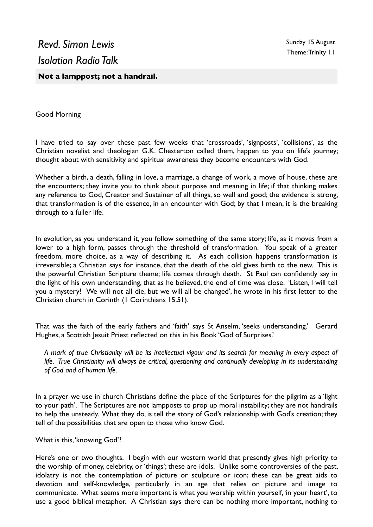Good Morning

I have tried to say over these past few weeks that 'crossroads', 'signposts', 'collisions', as the Christian novelist and theologian G.K. Chesterton called them, happen to you on life's journey; thought about with sensitivity and spiritual awareness they become encounters with God.

Whether a birth, a death, falling in love, a marriage, a change of work, a move of house, these are the encounters; they invite you to think about purpose and meaning in life; if that thinking makes any reference to God, Creator and Sustainer of all things, so well and good; the evidence is strong, that transformation is of the essence, in an encounter with God; by that I mean, it is the breaking through to a fuller life.

In evolution, as you understand it, you follow something of the same story; life, as it moves from a lower to a high form, passes through the threshold of transformation. You speak of a greater freedom, more choice, as a way of describing it. As each collision happens transformation is irreversible; a Christian says for instance, that the death of the old gives birth to the new. This is the powerful Christian Scripture theme; life comes through death. St Paul can confidently say in the light of his own understanding, that as he believed, the end of time was close. 'Listen, I will tell you a mystery! We will not all die, but we will all be changed', he wrote in his first letter to the Christian church in Corinth (1 Corinthians 15.51).

That was the faith of the early fathers and 'faith' says St Anselm, 'seeks understanding.' Gerard Hughes, a Scottish Jesuit Priest reflected on this in his Book 'God of Surprises.'

*A mark of true Christianity will be its intellectual vigour and its search for meaning in every aspect of life. True Christianity will always be critical, questioning and continually developing in its understanding of God and of human life.*

In a prayer we use in church Christians define the place of the Scriptures for the pilgrim as a 'light to your path'. The Scriptures are not lampposts to prop up moral instability; they are not handrails to help the unsteady. What they do, is tell the story of God's relationship with God's creation; they tell of the possibilities that are open to those who know God.

What is this, 'knowing God'?

Here's one or two thoughts. I begin with our western world that presently gives high priority to the worship of money, celebrity, or 'things'; these are idols. Unlike some controversies of the past, idolatry is not the contemplation of picture or sculpture or icon; these can be great aids to devotion and self-knowledge, particularly in an age that relies on picture and image to communicate. What seems more important is what you worship within yourself, 'in your heart', to use a good biblical metaphor. A Christian says there can be nothing more important, nothing to